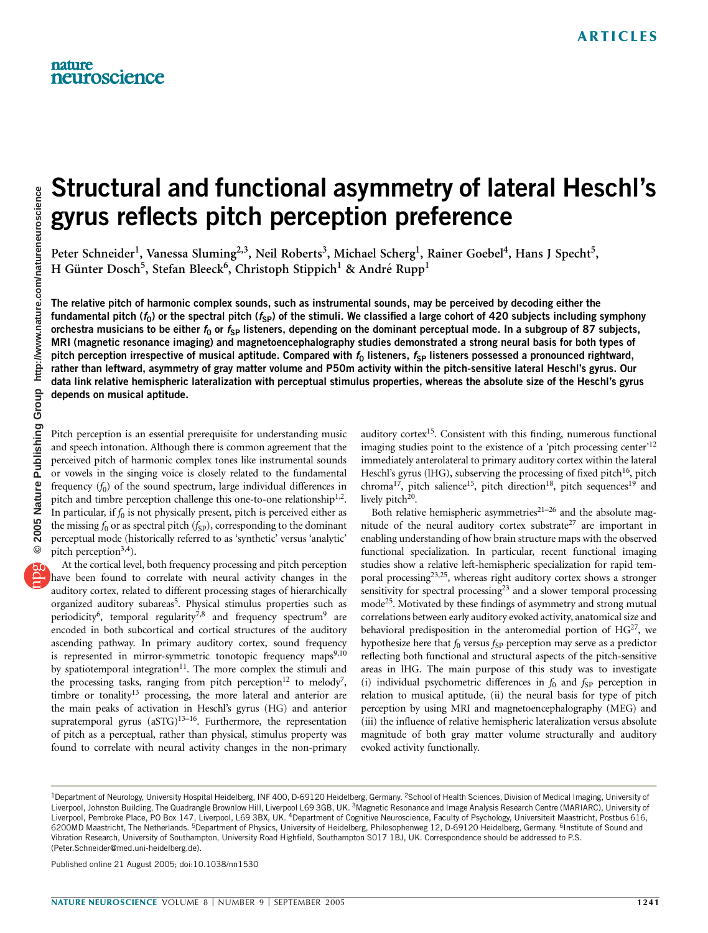# Structural and functional asymmetry of lateral Heschl's gyrus reflects pitch perception preference

Peter Schneider<sup>1</sup>, Vanessa Sluming<sup>2,3</sup>, Neil Roberts<sup>3</sup>, Michael Scherg<sup>1</sup>, Rainer Goebel<sup>4</sup>, Hans J Specht<sup>5</sup>, H Günter Dosch<sup>5</sup>, Stefan Bleeck<sup>6</sup>, Christoph Stippich<sup>1</sup> & André Rupp<sup>1</sup>

The relative pitch of harmonic complex sounds, such as instrumental sounds, may be perceived by decoding either the fundamental pitch ( $f_0$ ) or the spectral pitch ( $f_{SP}$ ) of the stimuli. We classified a large cohort of 420 subjects including symphony orchestra musicians to be either  $f_0$  or  $f_{SP}$  listeners, depending on the dominant perceptual mode. In a subgroup of 87 subjects, MRI (magnetic resonance imaging) and magnetoencephalography studies demonstrated a strong neural basis for both types of pitch perception irrespective of musical aptitude. Compared with  $f_0$  listeners,  $f_{SP}$  listeners possessed a pronounced rightward, rather than leftward, asymmetry of gray matter volume and P50m activity within the pitch-sensitive lateral Heschl's gyrus. Our data link relative hemispheric lateralization with perceptual stimulus properties, whereas the absolute size of the Heschl's gyrus depends on musical aptitude.

Pitch perception is an essential prerequisite for understanding music and speech intonation. Although there is common agreement that the perceived pitch of harmonic complex tones like instrumental sounds or vowels in the singing voice is closely related to the fundamental frequency  $(f_0)$  of the sound spectrum, large individual differences in pitch and timbre perception challenge this one-to-one relationship<sup>1,2</sup>. In particular, if  $f_0$  is not physically present, pitch is perceived either as the missing  $f_0$  or as spectral pitch  $(f_{SP})$ , corresponding to the dominant perceptual mode (historically referred to as 'synthetic' versus 'analytic' pitch perception<sup>3,4</sup>).

At the cortical level, both frequency processing and pitch perception have been found to correlate with neural activity changes in the auditory cortex, related to different processing stages of hierarchically organized auditory subareas<sup>5</sup>. Physical stimulus properties such as periodicity<sup>6</sup>, temporal regularity<sup>7,8</sup> and frequency spectrum<sup>9</sup> are encoded in both subcortical and cortical structures of the auditory ascending pathway. In primary auditory cortex, sound frequency is represented in mirror-symmetric tonotopic frequency maps $9,10$ by spatiotemporal integration $11$ . The more complex the stimuli and the processing tasks, ranging from pitch perception<sup>12</sup> to melody<sup>7</sup>, timbre or tonality<sup>13</sup> processing, the more lateral and anterior are the main peaks of activation in Heschl's gyrus (HG) and anterior supratemporal gyrus (aSTG)<sup>13-16</sup>. Furthermore, the representation of pitch as a perceptual, rather than physical, stimulus property was found to correlate with neural activity changes in the non-primary

auditory cortex $15$ . Consistent with this finding, numerous functional imaging studies point to the existence of a 'pitch processing center'<sup>12</sup> immediately anterolateral to primary auditory cortex within the lateral Heschl's gyrus (lHG), subserving the processing of fixed pitch<sup>16</sup>, pitch chroma<sup>17</sup>, pitch salience<sup>15</sup>, pitch direction<sup>18</sup>, pitch sequences<sup>19</sup> and lively pitch<sup>20</sup>.

Both relative hemispheric asymmetries<sup>21–26</sup> and the absolute magnitude of the neural auditory cortex substrate<sup>27</sup> are important in enabling understanding of how brain structure maps with the observed functional specialization. In particular, recent functional imaging studies show a relative left-hemispheric specialization for rapid temporal processing<sup>23,25</sup>, whereas right auditory cortex shows a stronger sensitivity for spectral processing<sup>23</sup> and a slower temporal processing mode<sup>25</sup>. Motivated by these findings of asymmetry and strong mutual correlations between early auditory evoked activity, anatomical size and behavioral predisposition in the anteromedial portion of  $HG^{27}$ , we hypothesize here that  $f_0$  versus  $f_{SP}$  perception may serve as a predictor reflecting both functional and structural aspects of the pitch-sensitive areas in lHG. The main purpose of this study was to investigate (i) individual psychometric differences in  $f_0$  and  $f_{SP}$  perception in relation to musical aptitude, (ii) the neural basis for type of pitch perception by using MRI and magnetoencephalography (MEG) and (iii) the influence of relative hemispheric lateralization versus absolute magnitude of both gray matter volume structurally and auditory evoked activity functionally.

Published online 21 August 2005; doi:10.1038/nn1530

<sup>&</sup>lt;sup>1</sup>Department of Neurology, University Hospital Heidelberg, INF 400, D-69120 Heidelberg, Germany. <sup>2</sup>School of Health Sciences, Division of Medical Imaging, University of Liverpool, Johnston Building, The Quadrangle Brownlow Hill, Liverpool L69 3GB, UK.<sup>3</sup>Magnetic Resonance and Image Analysis Research Centre (MARIARC), University of Liverpool, Pembroke Place, PO Box 147, Liverpool, L69 3BX, UK. <sup>4</sup>Department of Cognitive Neuroscience, Faculty of Psychology, Universiteit Maastricht, Postbus 616, 6200MD Maastricht, The Netherlands. <sup>5</sup>Department of Physics, University of Heidelberg, Philosophenweg 12, D-69120 Heidelberg, Germany. <sup>6</sup>Institute of Sound and Vibration Research, University of Southampton, University Road Highfield, Southampton S017 1BJ, UK. Correspondence should be addressed to P.S. (Peter.Schneider@med.uni-heidelberg.de).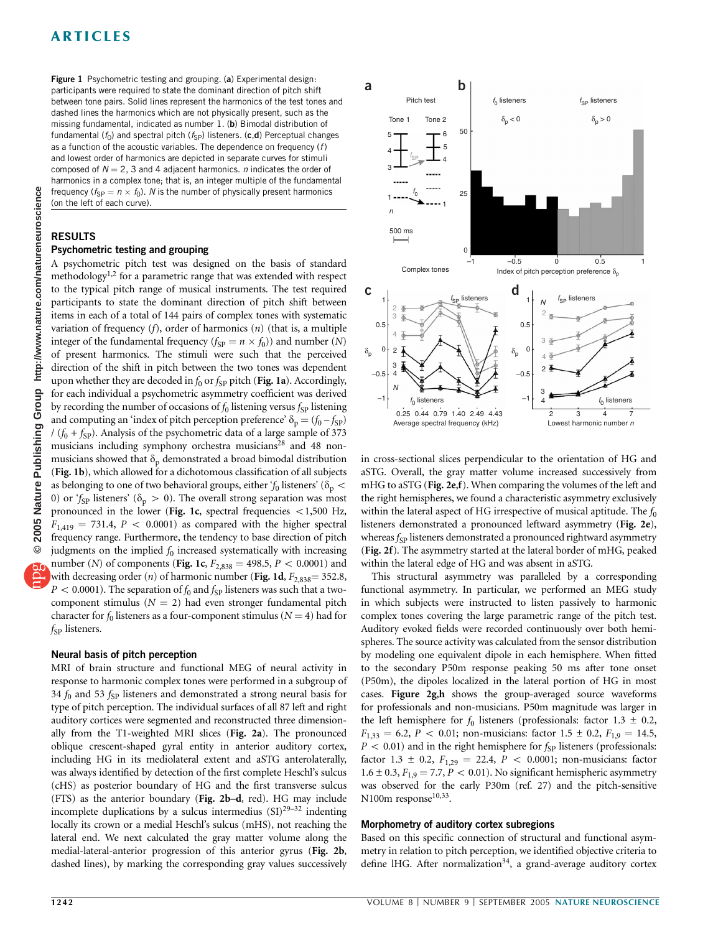# ARTICLES

**b** Figure 1 Psychometric testing and grouping. (a) Experimental design:<br> **b** rectionents were required to state the deminent direction of pitch chiff and **a** participants were required to state the dominant direction of pitch shift between tone pairs. Solid lines represent the harmonics of the test tones and dashed lines the harmonics which are not physically present, such as the missing fundamental, indicated as number 1. (b) Bimodal distribution of fundamental ( $f_0$ ) and spectral pitch ( $f_{SP}$ ) listeners. (c,d) Perceptual changes as a function of the acoustic variables. The dependence on frequency  $(f)$ and lowest order of harmonics are depicted in separate curves for stimuli composed of  $N = 2$ , 3 and 4 adjacent harmonics. *n* indicates the order of harmonics in a complex tone; that is, an integer multiple of the fundamental frequency ( $f_{SP} = n \times f_0$ ). N is the number of physically present harmonics (on the left of each curve).

## RESULTS

#### Psychometric testing and grouping

A psychometric pitch test was designed on the basis of standard methodology<sup>1,2</sup> for a parametric range that was extended with respect to the typical pitch range of musical instruments. The test required participants to state the dominant direction of pitch shift between items in each of a total of 144 pairs of complex tones with systematic variation of frequency  $(f)$ , order of harmonics  $(n)$  (that is, a multiple integer of the fundamental frequency ( $f_{SP} = n \times f_0$ )) and number (N) of present harmonics. The stimuli were such that the perceived direction of the shift in pitch between the two tones was dependent upon whether they are decoded in  $f_0$  or  $f_{SP}$  pitch (Fig. 1a). Accordingly, for each individual a psychometric asymmetry coefficient was derived by recording the number of occasions of  $f_0$  listening versus  $f_{SP}$  listening and computing an 'index of pitch perception preference'  $\delta_p = (f_0 - f_{SP})$  $(f_0 + f_{\text{SP}})$ . Analysis of the psychometric data of a large sample of 373 musicians including symphony orchestra musicians<sup>28</sup> and 48 nonmusicians showed that  $\delta_p$  demonstrated a broad bimodal distribution (Fig. 1b), which allowed for a dichotomous classification of all subjects as belonging to one of two behavioral groups, either ' $f_0$  listeners' ( $\delta_p$  < 0) or 'f<sub>SP</sub> listeners' ( $\delta_p > 0$ ). The overall strong separation was most pronounced in the lower (Fig. 1c, spectral frequencies  $<$  1,500 Hz,  $F_{1,419} = 731.4$ ,  $P < 0.0001$ ) as compared with the higher spectral frequency range. Furthermore, the tendency to base direction of pitch judgments on the implied  $f_0$  increased systematically with increasing number (N) of components (Fig. 1c,  $F_{2,838} = 498.5, P < 0.0001$ ) and with decreasing order (n) of harmonic number (Fig. 1d,  $F_{2,838} = 352.8$ ,  $P < 0.0001$ ). The separation of  $f_0$  and  $f_{SP}$  listeners was such that a twocomponent stimulus ( $N = 2$ ) had even stronger fundamental pitch character for  $f_0$  listeners as a four-component stimulus ( $N = 4$ ) had for  $f_{SP}$  listeners.

#### Neural basis of pitch perception

MRI of brain structure and functional MEG of neural activity in response to harmonic complex tones were performed in a subgroup of 34  $f_0$  and 53  $f_{SP}$  listeners and demonstrated a strong neural basis for type of pitch perception. The individual surfaces of all 87 left and right auditory cortices were segmented and reconstructed three dimensionally from the T1-weighted MRI slices (Fig. 2a). The pronounced oblique crescent-shaped gyral entity in anterior auditory cortex, including HG in its mediolateral extent and aSTG anterolaterally, was always identified by detection of the first complete Heschl's sulcus (cHS) as posterior boundary of HG and the first transverse sulcus (FTS) as the anterior boundary (Fig. 2b–d, red). HG may include incomplete duplications by a sulcus intermedius  $(SI)^{29-32}$  indenting locally its crown or a medial Heschl's sulcus (mHS), not reaching the lateral end. We next calculated the gray matter volume along the medial-lateral-anterior progression of this anterior gyrus (Fig. 2b, dashed lines), by marking the corresponding gray values successively



in cross-sectional slices perpendicular to the orientation of HG and aSTG. Overall, the gray matter volume increased successively from mHG to aSTG (Fig. 2e,f). When comparing the volumes of the left and the right hemispheres, we found a characteristic asymmetry exclusively within the lateral aspect of HG irrespective of musical aptitude. The  $f_0$ listeners demonstrated a pronounced leftward asymmetry (Fig. 2e), whereas  $f_{SP}$  listeners demonstrated a pronounced rightward asymmetry (Fig. 2f). The asymmetry started at the lateral border of mHG, peaked within the lateral edge of HG and was absent in aSTG.

This structural asymmetry was paralleled by a corresponding functional asymmetry. In particular, we performed an MEG study in which subjects were instructed to listen passively to harmonic complex tones covering the large parametric range of the pitch test. Auditory evoked fields were recorded continuously over both hemispheres. The source activity was calculated from the sensor distribution by modeling one equivalent dipole in each hemisphere. When fitted to the secondary P50m response peaking 50 ms after tone onset (P50m), the dipoles localized in the lateral portion of HG in most cases. Figure 2g,h shows the group-averaged source waveforms for professionals and non-musicians. P50m magnitude was larger in the left hemisphere for  $f_0$  listeners (professionals: factor 1.3  $\pm$  0.2,  $F_{1,33} = 6.2, P < 0.01$ ; non-musicians: factor 1.5  $\pm$  0.2,  $F_{1,9} = 14.5$ ,  $P < 0.01$  ) and in the right hemisphere for  $f_{\rm SP}$  listeners (professionals: factor 1.3  $\pm$  0.2,  $F_{1,29} = 22.4$ ,  $P < 0.0001$ ; non-musicians: factor  $1.6 \pm 0.3$ ,  $F_{1,9} = 7.7$ ,  $P < 0.01$ ). No significant hemispheric asymmetry was observed for the early P30m (ref. 27) and the pitch-sensitive N100m response<sup>10,33</sup>.

#### Morphometry of auditory cortex subregions

Based on this specific connection of structural and functional asymmetry in relation to pitch perception, we identified objective criteria to define IHG. After normalization<sup>34</sup>, a grand-average auditory cortex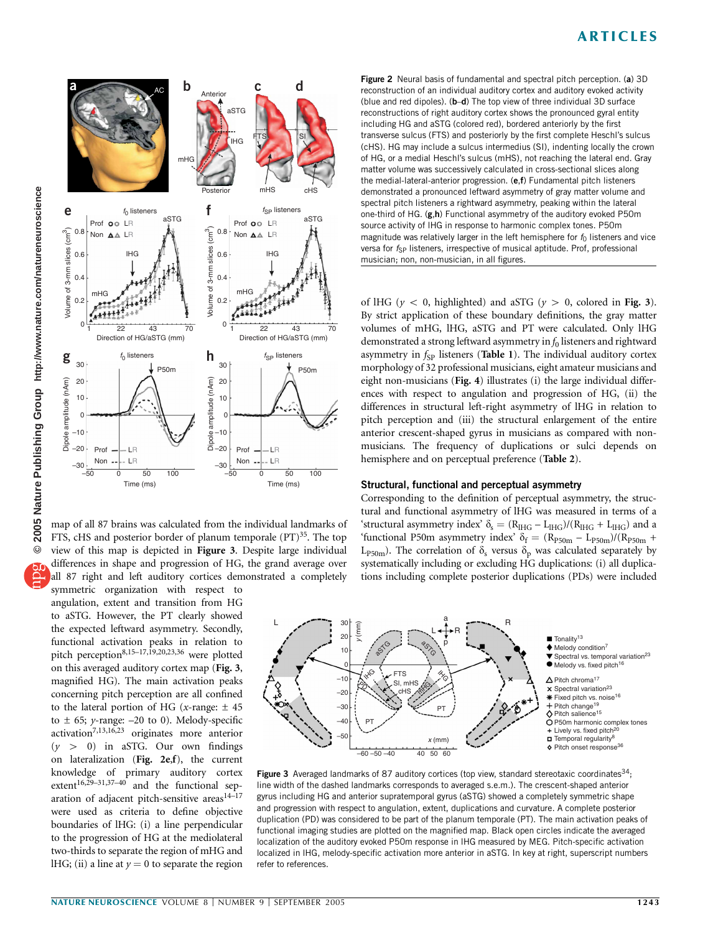## ARTICLES



map of all 87 brains was calculated from the individual landmarks of FTS, cHS and posterior border of planum temporale (PT)<sup>35</sup>. The top view of this map is depicted in Figure 3. Despite large individual differences in shape and progression of HG, the grand average over all 87 right and left auditory cortices demonstrated a completely

symmetric organization with respect to angulation, extent and transition from HG to aSTG. However, the PT clearly showed the expected leftward asymmetry. Secondly, functional activation peaks in relation to pitch perception8,15–17,19,20,23,36 were plotted on this averaged auditory cortex map (Fig. 3, magnified HG). The main activation peaks concerning pitch perception are all confined to the lateral portion of HG (x-range:  $\pm$  45 to  $\pm$  65; y-range: -20 to 0). Melody-specific activation7,13,16,23 originates more anterior  $(y > 0)$  in aSTG. Our own findings on lateralization (Fig. 2e,f), the current knowledge of primary auditory cortex extent<sup>16,29-31,37-40</sup> and the functional separation of adjacent pitch-sensitive areas $14-17$ were used as criteria to define objective boundaries of lHG: (i) a line perpendicular to the progression of HG at the mediolateral two-thirds to separate the region of mHG and lHG; (ii) a line at  $y = 0$  to separate the region

Figure 2 Neural basis of fundamental and spectral pitch perception. (a) 3D reconstruction of an individual auditory cortex and auditory evoked activity (blue and red dipoles). (b–d) The top view of three individual 3D surface reconstructions of right auditory cortex shows the pronounced gyral entity including HG and aSTG (colored red), bordered anteriorly by the first transverse sulcus (FTS) and posteriorly by the first complete Heschl's sulcus (cHS). HG may include a sulcus intermedius (SI), indenting locally the crown of HG, or a medial Heschl's sulcus (mHS), not reaching the lateral end. Gray matter volume was successively calculated in cross-sectional slices along the medial-lateral-anterior progression. (e,f) Fundamental pitch listeners demonstrated a pronounced leftward asymmetry of gray matter volume and spectral pitch listeners a rightward asymmetry, peaking within the lateral one-third of HG. (g,h) Functional asymmetry of the auditory evoked P50m source activity of lHG in response to harmonic complex tones. P50m magnitude was relatively larger in the left hemisphere for  $f_0$  listeners and vice versa for  $f_{SP}$  listeners, irrespective of musical aptitude. Prof, professional musician; non, non-musician, in all figures.

of IHG ( $y < 0$ , highlighted) and aSTG ( $y > 0$ , colored in Fig. 3). By strict application of these boundary definitions, the gray matter volumes of mHG, lHG, aSTG and PT were calculated. Only lHG demonstrated a strong leftward asymmetry in  $f_0$  listeners and rightward asymmetry in  $f_{SP}$  listeners (Table 1). The individual auditory cortex morphology of 32 professional musicians, eight amateur musicians and eight non-musicians (Fig. 4) illustrates (i) the large individual differences with respect to angulation and progression of HG, (ii) the differences in structural left-right asymmetry of lHG in relation to pitch perception and (iii) the structural enlargement of the entire anterior crescent-shaped gyrus in musicians as compared with nonmusicians. The frequency of duplications or sulci depends on hemisphere and on perceptual preference (Table 2).

#### Structural, functional and perceptual asymmetry

Corresponding to the definition of perceptual asymmetry, the structural and functional asymmetry of lHG was measured in terms of a 'structural asymmetry index'  $\delta_s = (R_{HIG} - L_{HIG})/(R_{HIG} + L_{HIG})$  and a 'functional P50m asymmetry index'  $\delta_f = (R_{P50m} - L_{P50m})/(R_{P50m} +$ L<sub>P50m</sub>). The correlation of  $\delta_s$  versus  $\delta_p$  was calculated separately by systematically including or excluding HG duplications: (i) all duplications including complete posterior duplications (PDs) were included



Figure 3 Averaged landmarks of 87 auditory cortices (top view, standard stereotaxic coordinates<sup>34</sup>; line width of the dashed landmarks corresponds to averaged s.e.m.). The crescent-shaped anterior gyrus including HG and anterior supratemporal gyrus (aSTG) showed a completely symmetric shape and progression with respect to angulation, extent, duplications and curvature. A complete posterior duplication (PD) was considered to be part of the planum temporale (PT). The main activation peaks of functional imaging studies are plotted on the magnified map. Black open circles indicate the averaged localization of the auditory evoked P50m response in lHG measured by MEG. Pitch-specific activation localized in lHG, melody-specific activation more anterior in aSTG. In key at right, superscript numbers refer to references.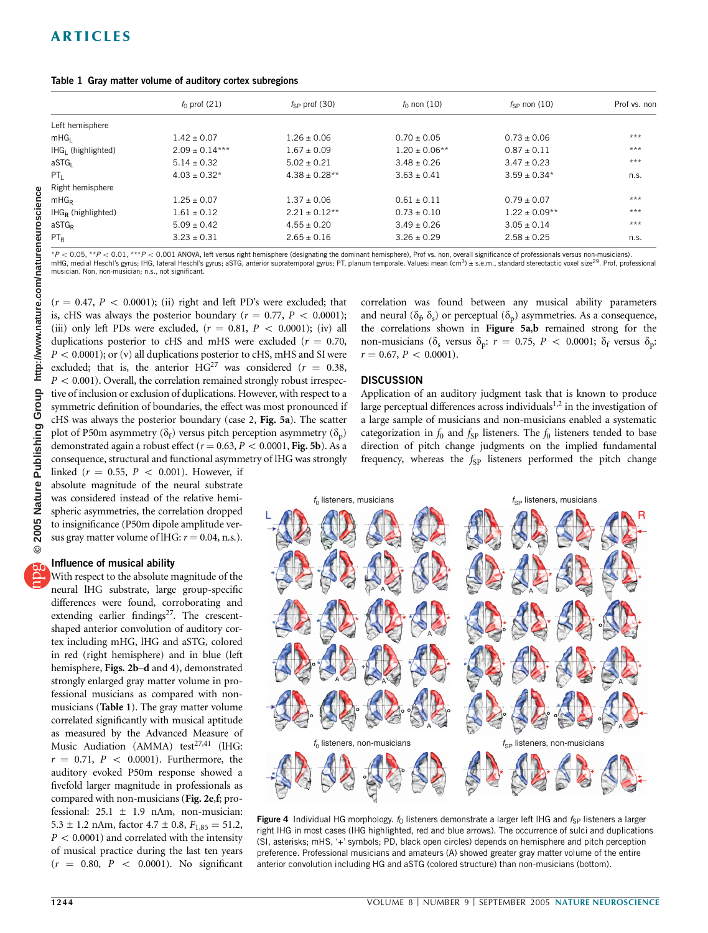|                       | $f_0$ prof (21)    | $f_{SP}$ prof (30) | $f_0$ non (10)    | $f_{SP}$ non (10) | Prof vs. non |
|-----------------------|--------------------|--------------------|-------------------|-------------------|--------------|
| Left hemisphere       |                    |                    |                   |                   |              |
| mHG <sub>1</sub>      | $1.42 \pm 0.07$    | $1.26 \pm 0.06$    | $0.70 \pm 0.05$   | $0.73 + 0.06$     | $***$        |
| $H G1$ (highlighted)  | $2.09 \pm 0.14***$ | $1.67 \pm 0.09$    | $1.20 \pm 0.06**$ | $0.87 \pm 0.11$   | $***$        |
| aSTG                  | $5.14 \pm 0.32$    | $5.02 + 0.21$      | $3.48 + 0.26$     | $3.47 + 0.23$     | $***$        |
| $PT_1$                | $4.03 \pm 0.32^*$  | $4.38 \pm 0.28**$  | $3.63 \pm 0.41$   | $3.59 + 0.34*$    | n.s.         |
| Right hemisphere      |                    |                    |                   |                   |              |
| mHG <sub>R</sub>      | $1.25 \pm 0.07$    | $1.37 \pm 0.06$    | $0.61 \pm 0.11$   | $0.79 \pm 0.07$   | $***$        |
| $H G_R$ (highlighted) | $1.61 \pm 0.12$    | $2.21 + 0.12**$    | $0.73 \pm 0.10$   | $1.22 \pm 0.09**$ | $***$        |
| aSTGR                 | $5.09 \pm 0.42$    | $4.55 \pm 0.20$    | $3.49 \pm 0.26$   | $3.05 \pm 0.14$   | $***$        |
| $PT_R$                | $3.23 \pm 0.31$    | $2.65 \pm 0.16$    | $3.26 \pm 0.29$   | $2.58 \pm 0.25$   | n.s.         |

 $*P < 0.05$ ,  $**P < 0.01$ ,  $***P < 0.001$  ANOVA, left versus right hemisphere (designating the dominant hemisphere), Prof vs. non, overall significance of professionals versus non-musicians). mHG, medial Heschl's gyrus; IHG, lateral Heschl's gyrus; aSTG, anterior supratemporal gyrus; PT, planum temporale. Values: mean (cm<sup>3</sup>) ± s.e.m., standard stereotactic voxel size<sup>29</sup>. Prof, professional musician. Non, non-musician; n.s., not significant.

 $(r = 0.47, P < 0.0001)$ ; (ii) right and left PD's were excluded; that is, cHS was always the posterior boundary ( $r = 0.77$ ,  $P < 0.0001$ ); (iii) only left PDs were excluded,  $(r = 0.81, P < 0.0001)$ ; (iv) all duplications posterior to cHS and mHS were excluded ( $r = 0.70$ ,  $P < 0.0001$ ); or (v) all duplications posterior to cHS, mHS and SI were excluded; that is, the anterior  $HG^{27}$  was considered ( $r = 0.38$ ,  $P < 0.001$ ). Overall, the correlation remained strongly robust irrespective of inclusion or exclusion of duplications. However, with respect to a symmetric definition of boundaries, the effect was most pronounced if cHS was always the posterior boundary (case 2, Fig. 5a). The scatter plot of P50m asymmetry ( $\delta_f$ ) versus pitch perception asymmetry ( $\delta_p$ ) demonstrated again a robust effect ( $r = 0.63, P < 0.0001$ , Fig. 5b). As a consequence, structural and functional asymmetry of lHG was strongly

linked ( $r = 0.55$ ,  $P < 0.001$ ). However, if absolute magnitude of the neural substrate was considered instead of the relative hemispheric asymmetries, the correlation dropped to insignificance (P50m dipole amplitude versus gray matter volume of lHG:  $r = 0.04$ , n.s.).

#### Influence of musical ability

With respect to the absolute magnitude of the neural lHG substrate, large group-specific differences were found, corroborating and extending earlier findings<sup>27</sup>. The crescentshaped anterior convolution of auditory cortex including mHG, lHG and aSTG, colored in red (right hemisphere) and in blue (left hemisphere, Figs. 2b-d and 4), demonstrated strongly enlarged gray matter volume in professional musicians as compared with nonmusicians (Table 1). The gray matter volume correlated significantly with musical aptitude as measured by the Advanced Measure of Music Audiation (AMMA) test $27,41$  (lHG:  $r = 0.71$ ,  $P < 0.0001$ ). Furthermore, the auditory evoked P50m response showed a fivefold larger magnitude in professionals as compared with non-musicians (Fig. 2e,f; professional:  $25.1 \pm 1.9$  nAm, non-musician: 5.3  $\pm$  1.2 nAm, factor 4.7  $\pm$  0.8,  $F_{1,85} = 51.2$ ,  $P < 0.0001$ ) and correlated with the intensity of musical practice during the last ten years  $(r = 0.80, P < 0.0001)$ . No significant correlation was found between any musical ability parameters and neural ( $\delta_f$ ,  $\delta_s$ ) or perceptual ( $\delta_p$ ) asymmetries. As a consequence, the correlations shown in Figure 5a,b remained strong for the non-musicians ( $\delta_s$  versus  $\delta_p$ :  $r = 0.75$ ,  $P < 0.0001$ ;  $\delta_f$  versus  $\delta_p$ :  $r = 0.67, P < 0.0001$ ).

#### **DISCUSSION**

Application of an auditory judgment task that is known to produce large perceptual differences across individuals<sup>1,2</sup> in the investigation of a large sample of musicians and non-musicians enabled a systematic categorization in  $f_0$  and  $f_{SP}$  listeners. The  $f_0$  listeners tended to base direction of pitch change judgments on the implied fundamental frequency, whereas the  $f_{SP}$  listeners performed the pitch change



Figure 4 Individual HG morphology.  $f_0$  listeners demonstrate a larger left IHG and  $f_{SP}$  listeners a larger right lHG in most cases (lHG highlighted, red and blue arrows). The occurrence of sulci and duplications (SI, asterisks; mHS, '+' symbols; PD, black open circles) depends on hemisphere and pitch perception preference. Professional musicians and amateurs (A) showed greater gray matter volume of the entire anterior convolution including HG and aSTG (colored structure) than non-musicians (bottom).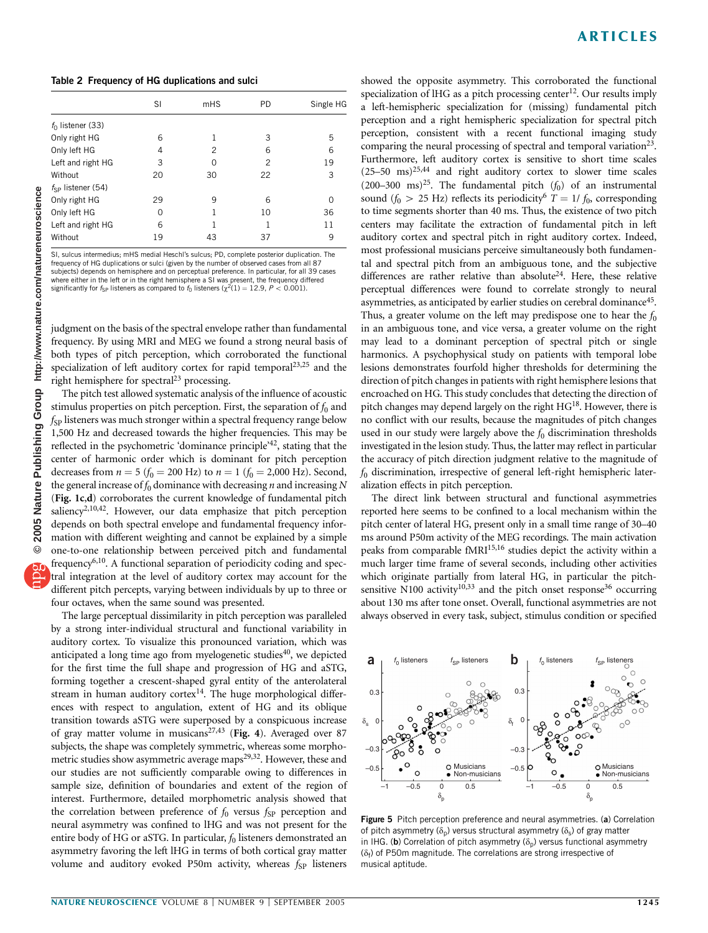Table 2 Frequency of HG duplications and sulci

|                        | SI | mHS | <b>PD</b>      | Single HG |
|------------------------|----|-----|----------------|-----------|
| $f_0$ listener (33)    |    |     |                |           |
| Only right HG          | 6  |     | 3              | 5         |
| Only left HG           | 4  | 2   | 6              | 6         |
| Left and right HG      | 3  | O   | $\overline{c}$ | 19        |
| Without                | 20 | 30  | 22             | 3         |
| $f_{SP}$ listener (54) |    |     |                |           |
| Only right HG          | 29 | 9   | 6              | $\Omega$  |
| Only left HG           | 0  |     | 10             | 36        |
| Left and right HG      | 6  |     | 1              | 11        |
| Without                | 19 | 43  | 37             | 9         |

SI, sulcus intermedius; mHS medial Heschl's sulcus; PD, complete posterior duplication. The frequency of HG duplications or sulci (given by the number of observed cases from all 87 subjects) depends on hemisphere and on perceptual preference. In particular, for all 39 cases where either in the left or in the right hemisphere a SI was present, the frequency differed significantly for  $f_{SP}$  listeners as compared to  $f_0$  listeners ( $\chi^2(1) = 12.9$ ,  $P < 0.001$ ).

judgment on the basis of the spectral envelope rather than fundamental frequency. By using MRI and MEG we found a strong neural basis of both types of pitch perception, which corroborated the functional specialization of left auditory cortex for rapid temporal $2^{3,25}$  and the right hemisphere for spectral<sup>23</sup> processing.

The pitch test allowed systematic analysis of the influence of acoustic stimulus properties on pitch perception. First, the separation of  $f_0$  and  $f_{SP}$  listeners was much stronger within a spectral frequency range below 1,500 Hz and decreased towards the higher frequencies. This may be reflected in the psychometric 'dominance principle'<sup>42</sup>, stating that the center of harmonic order which is dominant for pitch perception decreases from  $n = 5$  ( $f_0 = 200$  Hz) to  $n = 1$  ( $f_0 = 2,000$  Hz). Second, the general increase of  $f_0$  dominance with decreasing n and increasing N (Fig. 1c,d) corroborates the current knowledge of fundamental pitch saliency<sup>2,10,42</sup>. However, our data emphasize that pitch perception depends on both spectral envelope and fundamental frequency information with different weighting and cannot be explained by a simple one-to-one relationship between perceived pitch and fundamental frequency<sup>6,10</sup>. A functional separation of periodicity coding and spectral integration at the level of auditory cortex may account for the different pitch percepts, varying between individuals by up to three or four octaves, when the same sound was presented.

The large perceptual dissimilarity in pitch perception was paralleled by a strong inter-individual structural and functional variability in auditory cortex. To visualize this pronounced variation, which was anticipated a long time ago from myelogenetic studies $40$ , we depicted for the first time the full shape and progression of HG and aSTG, forming together a crescent-shaped gyral entity of the anterolateral stream in human auditory cortex $14$ . The huge morphological differences with respect to angulation, extent of HG and its oblique transition towards aSTG were superposed by a conspicuous increase of gray matter volume in musicans<sup>27,43</sup> (Fig. 4). Averaged over 87 subjects, the shape was completely symmetric, whereas some morphometric studies show asymmetric average maps<sup>29,32</sup>. However, these and our studies are not sufficiently comparable owing to differences in sample size, definition of boundaries and extent of the region of interest. Furthermore, detailed morphometric analysis showed that the correlation between preference of  $f_0$  versus  $f_{SP}$  perception and neural asymmetry was confined to lHG and was not present for the entire body of HG or aSTG. In particular,  $f_0$  listeners demonstrated an asymmetry favoring the left lHG in terms of both cortical gray matter volume and auditory evoked P50m activity, whereas  $f_{SP}$  listeners

showed the opposite asymmetry. This corroborated the functional specialization of lHG as a pitch processing center<sup>12</sup>. Our results imply a left-hemispheric specialization for (missing) fundamental pitch perception and a right hemispheric specialization for spectral pitch perception, consistent with a recent functional imaging study comparing the neural processing of spectral and temporal variation<sup>23</sup>. Furthermore, left auditory cortex is sensitive to short time scales  $(25-50 \text{ ms})^{25,44}$  and right auditory cortex to slower time scales (200–300 ms)<sup>25</sup>. The fundamental pitch  $(f_0)$  of an instrumental sound ( $f_0 > 25$  Hz) reflects its periodicity<sup>6</sup>  $T = 1/f_0$ , corresponding to time segments shorter than 40 ms. Thus, the existence of two pitch centers may facilitate the extraction of fundamental pitch in left auditory cortex and spectral pitch in right auditory cortex. Indeed, most professional musicians perceive simultaneously both fundamental and spectral pitch from an ambiguous tone, and the subjective differences are rather relative than absolute<sup>24</sup>. Here, these relative perceptual differences were found to correlate strongly to neural asymmetries, as anticipated by earlier studies on cerebral dominance<sup>45</sup>. Thus, a greater volume on the left may predispose one to hear the  $f_0$ in an ambiguous tone, and vice versa, a greater volume on the right may lead to a dominant perception of spectral pitch or single harmonics. A psychophysical study on patients with temporal lobe lesions demonstrates fourfold higher thresholds for determining the direction of pitch changes in patients with right hemisphere lesions that encroached on HG. This study concludes that detecting the direction of pitch changes may depend largely on the right  $HG^{18}$ . However, there is no conflict with our results, because the magnitudes of pitch changes used in our study were largely above the  $f_0$  discrimination thresholds investigated in the lesion study. Thus, the latter may reflect in particular the accuracy of pitch direction judgment relative to the magnitude of  $f_0$  discrimination, irrespective of general left-right hemispheric lateralization effects in pitch perception.

The direct link between structural and functional asymmetries reported here seems to be confined to a local mechanism within the pitch center of lateral HG, present only in a small time range of 30–40 ms around P50m activity of the MEG recordings. The main activation peaks from comparable fMRI<sup>15,16</sup> studies depict the activity within a much larger time frame of several seconds, including other activities which originate partially from lateral HG, in particular the pitchsensitive N100 activity<sup>10,33</sup> and the pitch onset response<sup>36</sup> occurring about 130 ms after tone onset. Overall, functional asymmetries are not always observed in every task, subject, stimulus condition or specified



Figure 5 Pitch perception preference and neural asymmetries. (a) Correlation of pitch asymmetry ( $\delta_p$ ) versus structural asymmetry ( $\delta_s$ ) of gray matter in IHG. (b) Correlation of pitch asymmetry ( $\delta_{p}$ ) versus functional asymmetry  $(\delta_f)$  of P50m magnitude. The correlations are strong irrespective of musical aptitude.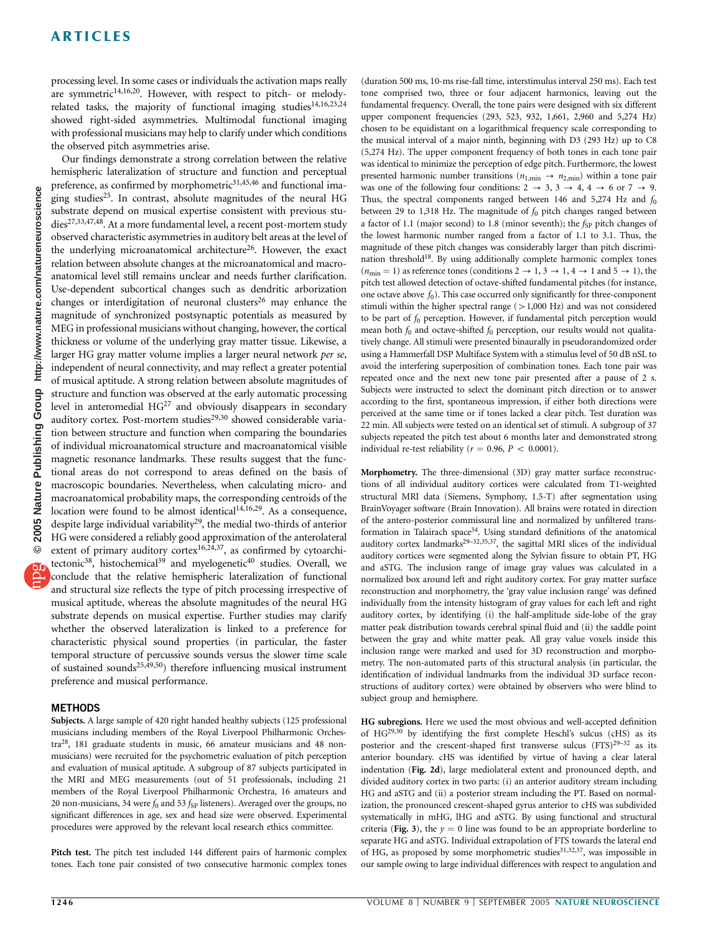## ARTICLES

processing level. In some cases or individuals the activation maps really are symmetric<sup>14,16,20</sup>. However, with respect to pitch- or melodyrelated tasks, the majority of functional imaging studies<sup>14,16,23,24</sup> showed right-sided asymmetries. Multimodal functional imaging with professional musicians may help to clarify under which conditions the observed pitch asymmetries arise.

Our findings demonstrate a strong correlation between the relative hemispheric lateralization of structure and function and perceptual preference, as confirmed by morphometric<sup>31,45,46</sup> and functional imaging studies<sup>25</sup>. In contrast, absolute magnitudes of the neural HG substrate depend on musical expertise consistent with previous studies<sup>27,33,47,48</sup>. At a more fundamental level, a recent post-mortem study observed characteristic asymmetries in auditory belt areas at the level of the underlying microanatomical architecture<sup>26</sup>. However, the exact relation between absolute changes at the microanatomical and macroanatomical level still remains unclear and needs further clarification. Use-dependent subcortical changes such as dendritic arborization changes or interdigitation of neuronal clusters<sup>26</sup> may enhance the magnitude of synchronized postsynaptic potentials as measured by MEG in professional musicians without changing, however, the cortical thickness or volume of the underlying gray matter tissue. Likewise, a larger HG gray matter volume implies a larger neural network per se, independent of neural connectivity, and may reflect a greater potential of musical aptitude. A strong relation between absolute magnitudes of structure and function was observed at the early automatic processing level in anteromedial  $HG^{27}$  and obviously disappears in secondary auditory cortex. Post-mortem studies<sup>29,30</sup> showed considerable variation between structure and function when comparing the boundaries of individual microanatomical structure and macroanatomical visible magnetic resonance landmarks. These results suggest that the functional areas do not correspond to areas defined on the basis of macroscopic boundaries. Nevertheless, when calculating micro- and macroanatomical probability maps, the corresponding centroids of the location were found to be almost identical $14,16,29$ . As a consequence, despite large individual variability<sup>29</sup>, the medial two-thirds of anterior HG were considered a reliably good approximation of the anterolateral extent of primary auditory cortex<sup>16,24,37</sup>, as confirmed by cytoarchitectonic<sup>38</sup>, histochemical<sup>39</sup> and myelogenetic<sup>40</sup> studies. Overall, we conclude that the relative hemispheric lateralization of functional and structural size reflects the type of pitch processing irrespective of musical aptitude, whereas the absolute magnitudes of the neural HG substrate depends on musical expertise. Further studies may clarify whether the observed lateralization is linked to a preference for characteristic physical sound properties (in particular, the faster temporal structure of percussive sounds versus the slower time scale of sustained sounds<sup>25,49,50</sup>) therefore influencing musical instrument preference and musical performance.

### **METHODS**

Subjects. A large sample of 420 right handed healthy subjects (125 professional musicians including members of the Royal Liverpool Philharmonic Orchestra28, 181 graduate students in music, 66 amateur musicians and 48 nonmusicians) were recruited for the psychometric evaluation of pitch perception and evaluation of musical aptitude. A subgroup of 87 subjects participated in the MRI and MEG measurements (out of 51 professionals, including 21 members of the Royal Liverpool Philharmonic Orchestra, 16 amateurs and 20 non-musicians, 34 were  $f_0$  and 53  $f_{SP}$  listeners). Averaged over the groups, no significant differences in age, sex and head size were observed. Experimental procedures were approved by the relevant local research ethics committee.

Pitch test. The pitch test included 144 different pairs of harmonic complex tones. Each tone pair consisted of two consecutive harmonic complex tones

(duration 500 ms, 10-ms rise-fall time, interstimulus interval 250 ms). Each test tone comprised two, three or four adjacent harmonics, leaving out the fundamental frequency. Overall, the tone pairs were designed with six different upper component frequencies (293, 523, 932, 1,661, 2,960 and 5,274 Hz) chosen to be equidistant on a logarithmical frequency scale corresponding to the musical interval of a major ninth, beginning with D3 (293 Hz) up to C8 (5,274 Hz). The upper component frequency of both tones in each tone pair was identical to minimize the perception of edge pitch. Furthermore, the lowest presented harmonic number transitions  $(n_{1,min} \rightarrow n_{2,min})$  within a tone pair was one of the following four conditions:  $2 \rightarrow 3$ ,  $3 \rightarrow 4$ ,  $4 \rightarrow 6$  or  $7 \rightarrow 9$ . Thus, the spectral components ranged between 146 and 5,274 Hz and  $f_0$ between 29 to 1,318 Hz. The magnitude of  $f_0$  pitch changes ranged between a factor of 1.1 (major second) to 1.8 (minor seventh); the  $f_{SP}$  pitch changes of the lowest harmonic number ranged from a factor of 1.1 to 3.1. Thus, the magnitude of these pitch changes was considerably larger than pitch discrimination threshold<sup>18</sup>. By using additionally complete harmonic complex tones  $(n_{\text{min}} = 1)$  as reference tones (conditions  $2 \rightarrow 1, 3 \rightarrow 1, 4 \rightarrow 1$  and  $5 \rightarrow 1$ ), the pitch test allowed detection of octave-shifted fundamental pitches (for instance, one octave above  $f_0$ ). This case occurred only significantly for three-component stimuli within the higher spectral range  $(>1,000$  Hz) and was not considered to be part of  $f_0$  perception. However, if fundamental pitch perception would mean both  $f_0$  and octave-shifted  $f_0$  perception, our results would not qualitatively change. All stimuli were presented binaurally in pseudorandomized order using a Hammerfall DSP Multiface System with a stimulus level of 50 dB nSL to avoid the interfering superposition of combination tones. Each tone pair was repeated once and the next new tone pair presented after a pause of 2 s. Subjects were instructed to select the dominant pitch direction or to answer according to the first, spontaneous impression, if either both directions were perceived at the same time or if tones lacked a clear pitch. Test duration was 22 min. All subjects were tested on an identical set of stimuli. A subgroup of 37 subjects repeated the pitch test about 6 months later and demonstrated strong individual re-test reliability ( $r = 0.96$ ,  $P < 0.0001$ ).

Morphometry. The three-dimensional (3D) gray matter surface reconstructions of all individual auditory cortices were calculated from T1-weighted structural MRI data (Siemens, Symphony, 1.5-T) after segmentation using BrainVoyager software (Brain Innovation). All brains were rotated in direction of the antero-posterior commissural line and normalized by unfiltered transformation in Talairach space<sup>34</sup>. Using standard definitions of the anatomical auditory cortex landmarks<sup>29–32,35,37</sup>, the sagittal MRI slices of the individual auditory cortices were segmented along the Sylvian fissure to obtain PT, HG and aSTG. The inclusion range of image gray values was calculated in a normalized box around left and right auditory cortex. For gray matter surface reconstruction and morphometry, the 'gray value inclusion range' was defined individually from the intensity histogram of gray values for each left and right auditory cortex, by identifying (i) the half-amplitude side-lobe of the gray matter peak distribution towards cerebral spinal fluid and (ii) the saddle point between the gray and white matter peak. All gray value voxels inside this inclusion range were marked and used for 3D reconstruction and morphometry. The non-automated parts of this structural analysis (in particular, the identification of individual landmarks from the individual 3D surface reconstructions of auditory cortex) were obtained by observers who were blind to subject group and hemisphere.

HG subregions. Here we used the most obvious and well-accepted definition of HG29,30 by identifying the first complete Heschl's sulcus (cHS) as its posterior and the crescent-shaped first transverse sulcus  $(FTS)^{29-32}$  as its anterior boundary. cHS was identified by virtue of having a clear lateral indentation (Fig. 2d), large mediolateral extent and pronounced depth, and divided auditory cortex in two parts: (i) an anterior auditory stream including HG and aSTG and (ii) a posterior stream including the PT. Based on normalization, the pronounced crescent-shaped gyrus anterior to cHS was subdivided systematically in mHG, lHG and aSTG. By using functional and structural criteria (Fig. 3), the  $y = 0$  line was found to be an appropriate borderline to separate HG and aSTG. Individual extrapolation of FTS towards the lateral end of HG, as proposed by some morphometric studies<sup>31,32,37</sup>, was impossible in our sample owing to large individual differences with respect to angulation and